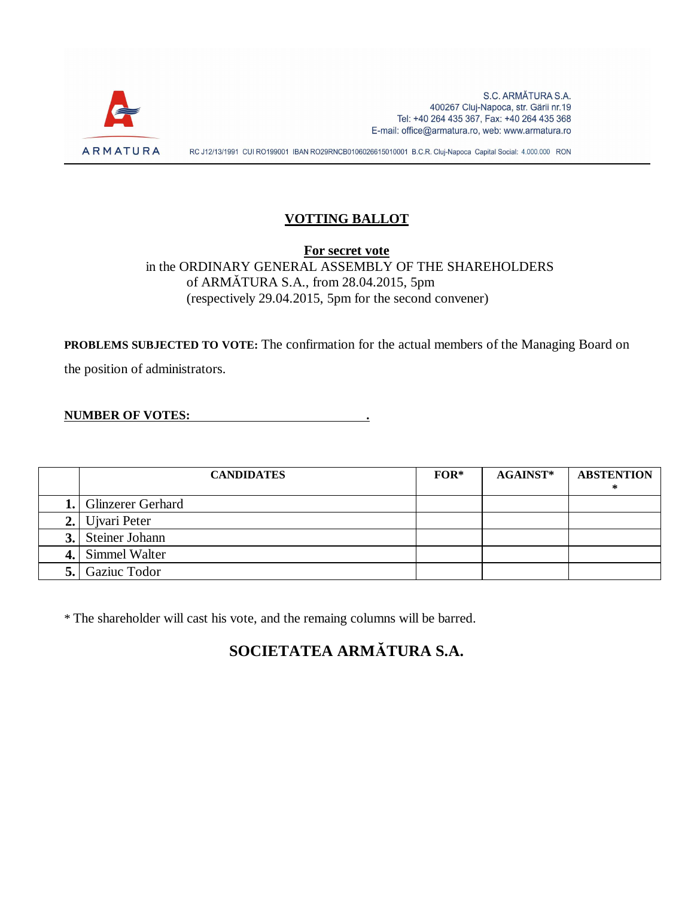

#### **VOTTING BALLOT**

**For secret vote** in the ORDINARY GENERAL ASSEMBLY OF THE SHAREHOLDERS of ARMĂTURA S.A., from 28.04.2015, 5pm (respectively 29.04.2015, 5pm for the second convener)

**PROBLEMS SUBJECTED TO VOTE:** The confirmation for the actual members of the Managing Board on

the position of administrators.

**NUMBER OF VOTES: .**

| <b>CANDIDATES</b>        | $FOR*$ | $AGAINST*$ | <b>ABSTENTION</b> |
|--------------------------|--------|------------|-------------------|
| 1. Glinzerer Gerhard     |        |            |                   |
| 2. Ujvari Peter          |        |            |                   |
| <b>3.</b> Steiner Johann |        |            |                   |
| 4. Simmel Walter         |        |            |                   |
| Gaziuc Todor             |        |            |                   |

\* The shareholder will cast his vote, and the remaing columns will be barred.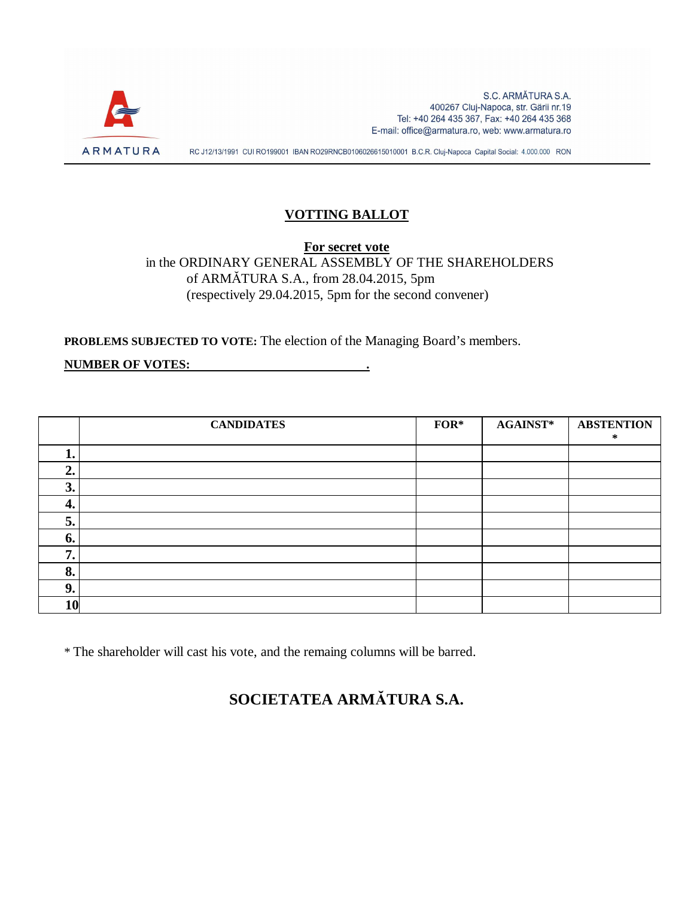

#### **VOTTING BALLOT**

**For secret vote**

in the ORDINARY GENERAL ASSEMBLY OF THE SHAREHOLDERS of ARMĂTURA S.A., from 28.04.2015, 5pm (respectively 29.04.2015, 5pm for the second convener)

**PROBLEMS SUBJECTED TO VOTE:** The election of the Managing Board's members.

**NUMBER OF VOTES: .**

|           | <b>CANDIDATES</b> | $FOR*$ | <b>AGAINST*</b> | <b>ABSTENTION</b><br>∗ |
|-----------|-------------------|--------|-----------------|------------------------|
| ı.        |                   |        |                 |                        |
| ◠<br>∠.   |                   |        |                 |                        |
| 3.        |                   |        |                 |                        |
| 4.        |                   |        |                 |                        |
| 5.        |                   |        |                 |                        |
| 6.        |                   |        |                 |                        |
| ៗ<br>, .  |                   |        |                 |                        |
| 8.        |                   |        |                 |                        |
| 9.        |                   |        |                 |                        |
| <b>10</b> |                   |        |                 |                        |

\* The shareholder will cast his vote, and the remaing columns will be barred.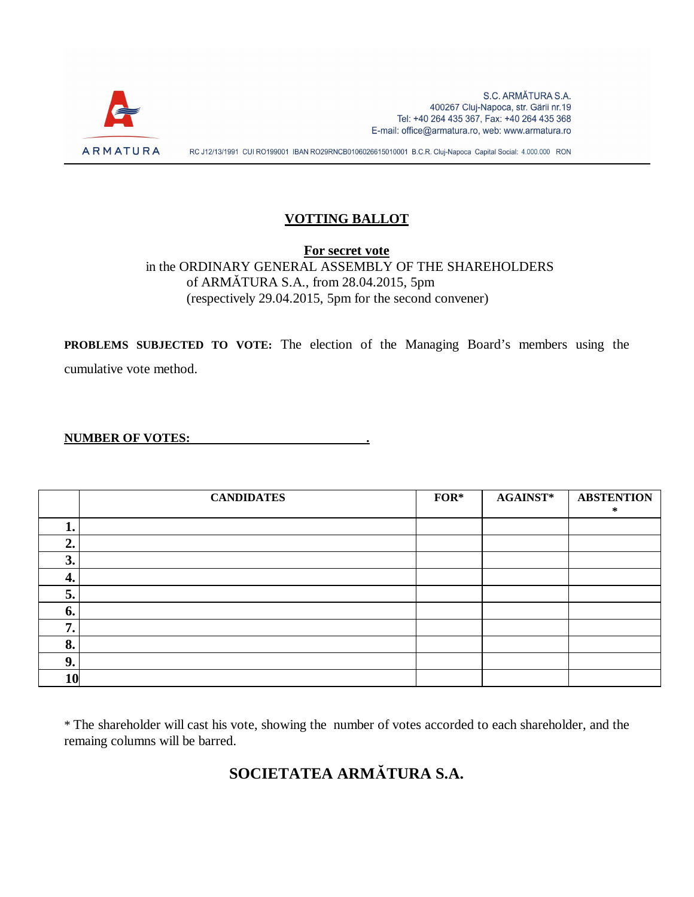

#### **VOTTING BALLOT**

**For secret vote** in the ORDINARY GENERAL ASSEMBLY OF THE SHAREHOLDERS of ARMĂTURA S.A., from 28.04.2015, 5pm (respectively 29.04.2015, 5pm for the second convener)

**PROBLEMS SUBJECTED TO VOTE:** The election of the Managing Board's members using the cumulative vote method.

#### **NUMBER OF VOTES: .**

|     | <b>CANDIDATES</b> | $FOR*$ | <b>AGAINST*</b> | <b>ABSTENTION</b><br>∗ |
|-----|-------------------|--------|-----------------|------------------------|
|     |                   |        |                 |                        |
| ◠   |                   |        |                 |                        |
| 3.  |                   |        |                 |                        |
| -4. |                   |        |                 |                        |
| 5.  |                   |        |                 |                        |
| b.  |                   |        |                 |                        |
|     |                   |        |                 |                        |
| 8.  |                   |        |                 |                        |
| 9.  |                   |        |                 |                        |
| 10  |                   |        |                 |                        |

\* The shareholder will cast his vote, showing the number of votes accorded to each shareholder, and the remaing columns will be barred.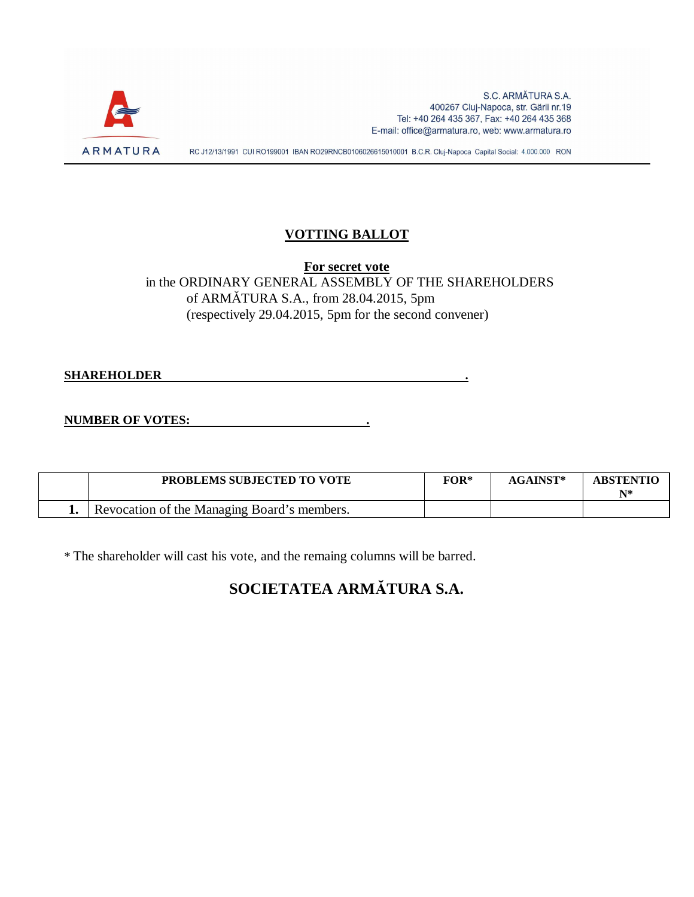

### **VOTTING BALLOT**

**For secret vote** in the ORDINARY GENERAL ASSEMBLY OF THE SHAREHOLDERS of ARMĂTURA S.A., from 28.04.2015, 5pm (respectively 29.04.2015, 5pm for the second convener)

**SHAREHOLDER .**

**NUMBER OF VOTES: .**

| <b>PROBLEMS SUBJECTED TO VOTE</b>           | $FOR*$ | <b>AGAINST*</b> | <b>ABSTENTIO</b><br>N* |
|---------------------------------------------|--------|-----------------|------------------------|
| Revocation of the Managing Board's members. |        |                 |                        |

\* The shareholder will cast his vote, and the remaing columns will be barred.